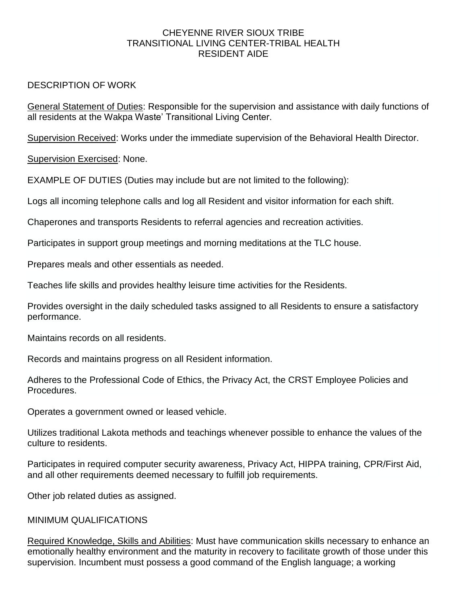## CHEYENNE RIVER SIOUX TRIBE TRANSITIONAL LIVING CENTER-TRIBAL HEALTH RESIDENT AIDE

## DESCRIPTION OF WORK

General Statement of Duties: Responsible for the supervision and assistance with daily functions of all residents at the Wakpa Waste' Transitional Living Center.

Supervision Received: Works under the immediate supervision of the Behavioral Health Director.

**Supervision Exercised: None.** 

EXAMPLE OF DUTIES (Duties may include but are not limited to the following):

Logs all incoming telephone calls and log all Resident and visitor information for each shift.

Chaperones and transports Residents to referral agencies and recreation activities.

Participates in support group meetings and morning meditations at the TLC house.

Prepares meals and other essentials as needed.

Teaches life skills and provides healthy leisure time activities for the Residents.

Provides oversight in the daily scheduled tasks assigned to all Residents to ensure a satisfactory performance.

Maintains records on all residents.

Records and maintains progress on all Resident information.

Adheres to the Professional Code of Ethics, the Privacy Act, the CRST Employee Policies and Procedures.

Operates a government owned or leased vehicle.

Utilizes traditional Lakota methods and teachings whenever possible to enhance the values of the culture to residents.

Participates in required computer security awareness, Privacy Act, HIPPA training, CPR/First Aid, and all other requirements deemed necessary to fulfill job requirements.

Other job related duties as assigned.

## MINIMUM QUALIFICATIONS

Required Knowledge, Skills and Abilities: Must have communication skills necessary to enhance an emotionally healthy environment and the maturity in recovery to facilitate growth of those under this supervision. Incumbent must possess a good command of the English language; a working